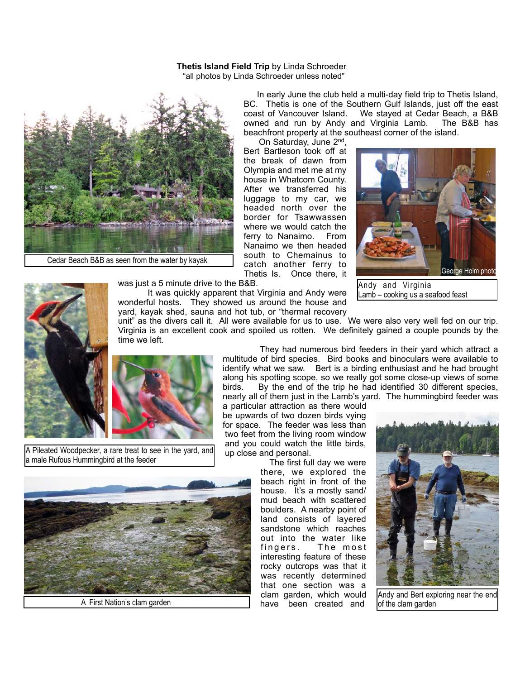## **Thetis Island Field Trip** by Linda Schroeder "all photos by Linda Schroeder unless noted"



Cedar Beach B&B as seen from the water by kayak

 In early June the club held a multi-day field trip to Thetis Island, BC. Thetis is one of the Southern Gulf Islands, just off the east coast of Vancouver Island. We stayed at Cedar Beach, a B&B We stayed at Cedar Beach, a B&B owned and run by Andy and Virginia Lamb. The B&B has beachfront property at the southeast corner of the island.

 On Saturday, June 2nd, Bert Bartleson took off at the break of dawn from Olympia and met me at my house in Whatcom County. After we transferred his luggage to my car, we headed north over the border for Tsawwassen where we would catch the ferry to Nanaimo. From Nanaimo we then headed south to Chemainus to catch another ferry to Thetis Is. Once there, it



Andy and Virginia Lamb – cooking us a seafood feast



was just a 5 minute drive to the B&B.

 It was quickly apparent that Virginia and Andy were wonderful hosts. They showed us around the house and yard, kayak shed, sauna and hot tub, or "thermal recovery

unit" as the divers call it. All were available for us to use. We were also very well fed on our trip. Virginia is an excellent cook and spoiled us rotten. We definitely gained a couple pounds by the time we left.



A Pileated Woodpecker, a rare treat to see in the yard, and a male Rufous Hummingbird at the feeder



 They had numerous bird feeders in their yard which attract a multitude of bird species. Bird books and binoculars were available to identify what we saw. Bert is a birding enthusiast and he had brought along his spotting scope, so we really got some close-up views of some birds. By the end of the trip he had identified 30 different species, nearly all of them just in the Lamb's yard. The hummingbird feeder was

a particular attraction as there would be upwards of two dozen birds vying for space. The feeder was less than two feet from the living room window and you could watch the little birds, up close and personal.

 The first full day we were there, we explored the beach right in front of the house. It's a mostly sand/ mud beach with scattered boulders. A nearby point of land consists of layered sandstone which reaches out into the water like fingers. The most interesting feature of these rocky outcrops was that it was recently determined that one section was a clam garden, which would have been created and a clam garden, which would and and Bert exploring near the end<br>A First Nation's clam garden and bave been created and of the clam garden



of the clam garden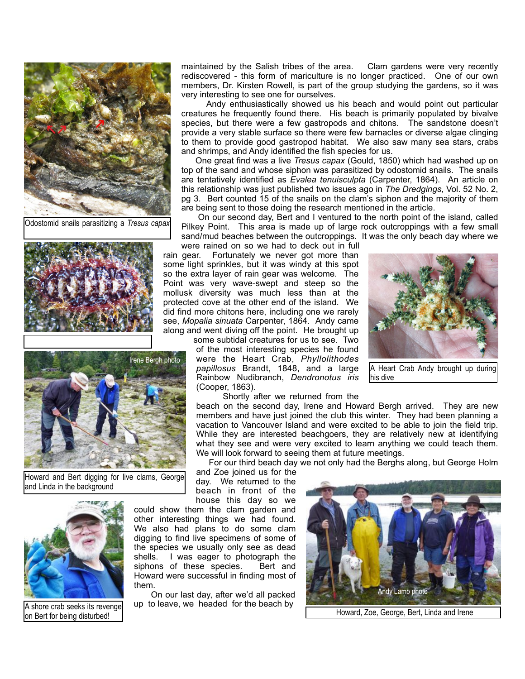

Odostomid snails parasitizing a *Tresus capax*





Howard and Bert digging for live clams, George and Linda in the background



A shore crab seeks its revenge all particular to readed for the beach by a shore crab seeks its revenge but the traditional crack of the mean short crack of the Howard, Zoe, George, Bert, Linda and Irene on Bert for being on Bert for being disturbed!

maintained by the Salish tribes of the area. Clam gardens were very recently rediscovered - this form of mariculture is no longer practiced. One of our own members, Dr. Kirsten Rowell, is part of the group studying the gardens, so it was very interesting to see one for ourselves.

 Andy enthusiastically showed us his beach and would point out particular creatures he frequently found there. His beach is primarily populated by bivalve species, but there were a few gastropods and chitons. The sandstone doesn't provide a very stable surface so there were few barnacles or diverse algae clinging to them to provide good gastropod habitat. We also saw many sea stars, crabs and shrimps, and Andy identified the fish species for us.

 One great find was a live *Tresus capax* (Gould, 1850) which had washed up on top of the sand and whose siphon was parasitized by odostomid snails. The snails are tentatively identified as *Evalea tenuisculpta* (Carpenter, 1864). An article on this relationship was just published two issues ago in *The Dredgings*, Vol. 52 No. 2, pg 3. Bert counted 15 of the snails on the clam's siphon and the majority of them are being sent to those doing the research mentioned in the article.

 On our second day, Bert and I ventured to the north point of the island, called Pilkey Point. This area is made up of large rock outcroppings with a few small sand/mud beaches between the outcroppings. It was the only beach day where we were rained on so we had to deck out in full

rain gear. Fortunately we never got more than some light sprinkles, but it was windy at this spot so the extra layer of rain gear was welcome. The Point was very wave-swept and steep so the mollusk diversity was much less than at the protected cove at the other end of the island. We did find more chitons here, including one we rarely see, *Mopalia sinuata* Carpenter, 1864. Andy came along and went diving off the point. He brought up

some subtidal creatures for us to see. Two of the most interesting species he found were the Heart Crab, *Phyllolithodes papillosus* Brandt, 1848, and a large Rainbow Nudibranch, *Dendronotus iris* (Cooper, 1863).



A Heart Crab Andy brought up during his dive

Shortly after we returned from the

beach on the second day, Irene and Howard Bergh arrived. They are new members and have just joined the club this winter. They had been planning a vacation to Vancouver Island and were excited to be able to join the field trip. While they are interested beachgoers, they are relatively new at identifying what they see and were very excited to learn anything we could teach them. We will look forward to seeing them at future meetings.

For our third beach day we not only had the Berghs along, but George Holm

and Zoe joined us for the day. We returned to the beach in front of the house this day so we

could show them the clam garden and other interesting things we had found. We also had plans to do some clam digging to find live specimens of some of the species we usually only see as dead shells. I was eager to photograph the siphons of these species. Bert and Howard were successful in finding most of them.

 On our last day, after we'd all packed up to leave, we headed for the beach by